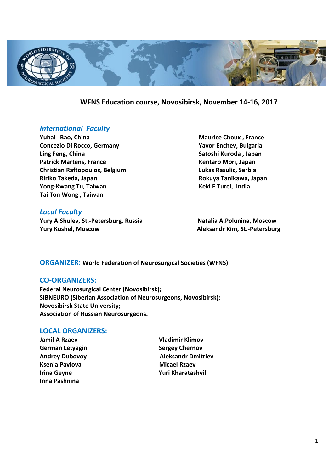

# **WFNS Education course, Novosibirsk, November 14-16, 2017**

# *International Faculty*

**Yuhai Bao, China Maurice Choux , France Maurice Choux** , France **Concezio Di Rocco, Germany Yavor Enchev, Bulgaria Ling Feng, China Satoshi Kuroda , Japan**  Patrick Martens, France **Martens, France Engineering and Taraccere** Kentaro Mori, Japan **Christian Raftopoulos, Belgium Lukas Rasulic, Serbia Ririko Takeda, Japan Rokuya Tanikawa, Japan Yong-Kwang Tu, Taiwan Keki E Turel, India Tai Ton Wong , Taiwan** 

# *Local Faculty*

**Yury A.Shulev, St.-Petersburg, Russia Natalia A.Polunina, Moscow Yury Kushel, Moscow Aleksandr Kim, St.-Petersburg**

# **ORGANIZER: World Federation of Neurosurgical Societies (WFNS)**

## **CO-ORGANIZERS:**

**Federal Neurosurgical Center (Novosibirsk); SIBNEURO (Siberian Association of Neurosurgeons, Novosibirsk); Novosibirsk State University; Association of Russian Neurosurgeons.**

# **LOCAL ORGANIZERS:**

- **Jamil A Rzaev Vladimir Klimov German Letyagin Sergey Chernov Ksenia Pavlova** Micael Rzaev **Inna Pashnina**
- **Andrey Dubovoy Aleksandr Dmitriev Irina Geyne Yuri Kharatashvili**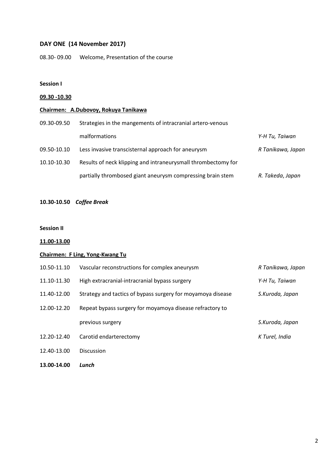# **DAY ONE (14 November 2017)**

08.30- 09.00 Welcome, Presentation of the course

## **Session I**

## **09.30 -10.30**

# **Chairmen: A.Dubovoy, Rokuya Tanikawa**

| 09.30-09.50 | Strategies in the mangements of intracranial artero-venous    |                   |
|-------------|---------------------------------------------------------------|-------------------|
|             | malformations                                                 | Y-H Tu, Taiwan    |
| 09.50-10.10 | Less invasive transcisternal approach for aneurysm            | R Tanikawa, Japan |
| 10.10-10.30 | Results of neck klipping and intraneurysmall thrombectomy for |                   |
|             | partially thrombosed giant aneurysm compressing brain stem    | R. Takeda, Japan  |

**10.30-10.50** *Coffee Break*

#### **Session II**

**11.00-13.00** 

# **Chairmen: F Ling, Yong-Kwang Tu**

| 10.50-11.10 | Vascular reconstructions for complex aneurysm               | R Tanikawa, Japan |
|-------------|-------------------------------------------------------------|-------------------|
| 11.10-11.30 | High extracranial-intracranial bypass surgery               | Y-H Tu, Taiwan    |
| 11.40-12.00 | Strategy and tactics of bypass surgery for moyamoya disease | S.Kuroda, Japan   |
| 12.00-12.20 | Repeat bypass surgery for moyamoya disease refractory to    |                   |
|             | previous surgery                                            | S.Kuroda, Japan   |
| 12.20-12.40 | Carotid endarterectomy                                      | K Turel, India    |
| 12.40-13.00 | <b>Discussion</b>                                           |                   |
|             |                                                             |                   |

**13.00-14.00** *Lunch*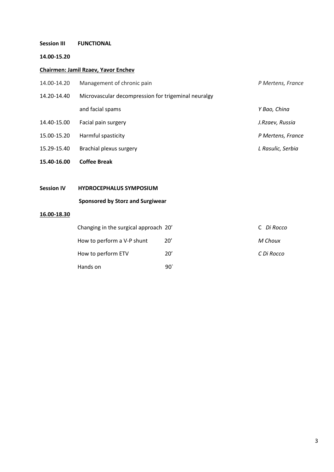# **Session III FUNCTIONAL**

### **14.00-15.20**

# **Chairmen: Jamil Rzaev, Yavor Enchev**

| 14.00-14.20       | Management of chronic pain                          | P Mertens, France |
|-------------------|-----------------------------------------------------|-------------------|
| 14.20-14.40       | Microvascular decompression for trigeminal neuralgy |                   |
|                   | and facial spams                                    | Y Bao, China      |
| 14.40-15.00       | Facial pain surgery                                 | J.Rzaev, Russia   |
| 15.00-15.20       | Harmful spasticity                                  | P Mertens, France |
| 15.29-15.40       | Brachial plexus surgery                             | L Rasulic, Serbia |
| 15.40-16.00       | <b>Coffee Break</b>                                 |                   |
|                   |                                                     |                   |
| <b>Session IV</b> | <b>HYDROCEPHALUS SYMPOSIUM</b>                      |                   |
|                   | <b>Sponsored by Storz and Surgiwear</b>             |                   |

## **16.00-18.30**

| Changing in the surgical approach 20' |     | C Di Rocco |
|---------------------------------------|-----|------------|
| How to perform a V-P shunt            | 20' | M Choux    |
| How to perform ETV                    | 20' | C Di Rocco |
| Hands on                              | 90' |            |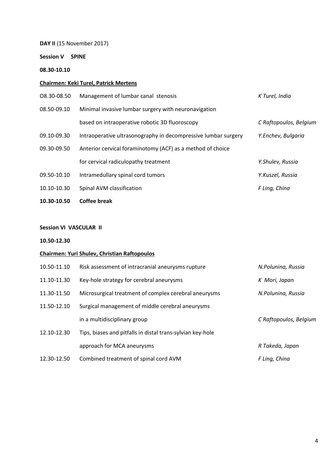**DAY II** (15 November 2017)

**Session V SPINE**

# **08.30-10.10**

## **Chairmen: Keki Turel, Patrick Mertens**

| 10.30-10.50 | <b>Coffee break</b>                                            |                        |
|-------------|----------------------------------------------------------------|------------------------|
| 10.10-10.30 | Spinal AVM classification                                      | F Ling, China          |
| 09.50-10.10 | Intramedullary spinal cord tumors                              | Y.Kuszel, Russia       |
|             | for cervical radiculopathy treatment                           | Y.Shulev, Russia       |
| 09.30-09.50 | Anterior cervical foraminotomy (ACF) as a method of choice     |                        |
| 09.10-09.30 | Intraoperative ultrasonography in decompressive lumbar surgery | Y.Enchev, Bulgaria     |
|             | based on intraoperative robotic 3D fluoroscopy                 | C Raftopoulos, Belgium |
| 08.50-09.10 | Minimal invasive lumbar surgery with neuronavigation           |                        |
| 08.30-08.50 | Management of lumbar canal stenosis                            | K Turel, India         |

# **Session VI VASCULAR II**

## **10.50-12.30**

## **Chairmen: Yuri Shulev, Christian Raftopoulos**

| 10.50-11.10 | Risk assessment of intracranial aneurysms rupture          | N.Polunina, Russia     |
|-------------|------------------------------------------------------------|------------------------|
| 11.10-11.30 | Key-hole strategy for cerebral aneurysms                   | K Mori, Japan          |
| 11.30-11.50 | Microsurgical treatment of complex cerebral aneurysms      | N.Polunina, Russia     |
| 11.50-12.10 | Surgical management of middle cerebral aneurysms           |                        |
|             | in a multidisciplinary group                               | C Raftopoulos, Belgium |
| 12.10-12.30 | Tips, biases and pitfalls in distal trans-sylvian key-hole |                        |
|             | approach for MCA aneurysms                                 | R Takeda, Japan        |
| 12.30-12.50 | Combined treatment of spinal cord AVM                      | F Ling, China          |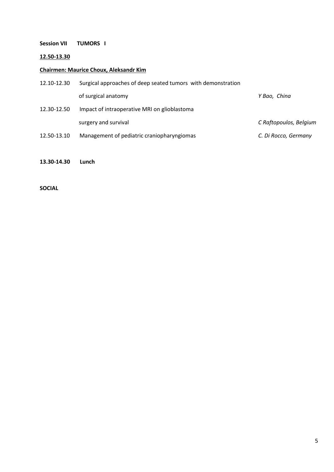# **Session VII TUMORS I**

## **12.50-13.30**

# **Chairmen: Maurice Choux, Aleksandr Kim**

| 12.10-12.30 | Surgical approaches of deep seated tumors with demonstration |                        |
|-------------|--------------------------------------------------------------|------------------------|
|             | of surgical anatomy                                          | Y Bao, China           |
| 12.30-12.50 | Impact of intraoperative MRI on glioblastoma                 |                        |
|             | surgery and survival                                         | C Raftopoulos, Belgium |
| 12.50-13.10 | Management of pediatric craniopharyngiomas                   | C. Di Rocco, Germany   |

#### **13.30-14.30 Lunch**

# **SOCIAL**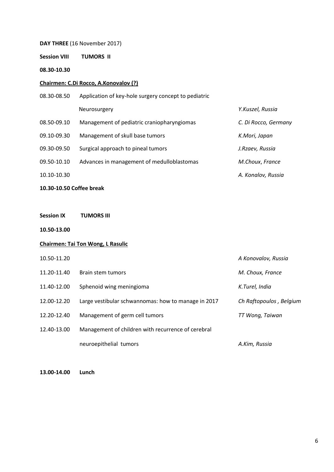**DAY THREE** (16 November 2017)

**Session VIII TUMORS II** 

**08.30-10.30**

#### **Chairmen: C.Di Rocco, A.Konovalov (?)**

08.30-08.50 Application of key-hole surgery concept to pediatric Neurosurgery *Y.Kuszel, Russia* 08.50-09.10 Management of pediatric craniopharyngiomas *C. Di Rocco, Germany* 09.10-09.30 Management of skull base tumors *K.Mori, Japan* 09.30-09.50 Surgical approach to pineal tumors *J.Rzaev, Russia*  09.50-10.10 Advances in management of medulloblastomas *M.Choux*, *France* 10.10-10.30 *A. Konalov, Russia*

### **10.30-10.50 Coffee break**

**Session IX TUMORS III**

**10.50-13.00** 

#### **Chairmen: Tai Ton Wong, L Rasulic**

| 10.50-11.20 |                                                     | A Konovalov, Russia     |
|-------------|-----------------------------------------------------|-------------------------|
| 11.20-11.40 | Brain stem tumors                                   | M. Choux, France        |
| 11.40-12.00 | Sphenoid wing meningioma                            | K.Turel, India          |
| 12.00-12.20 | Large vestibular schwannomas: how to manage in 2017 | Ch Raftopoulos, Belgium |
| 12.20-12.40 | Management of germ cell tumors                      | TT Wong, Taiwan         |
| 12.40-13.00 | Management of children with recurrence of cerebral  |                         |
|             | neuroepithelial tumors                              | A.Kim, Russia           |

**13.00-14.00 Lunch**

6